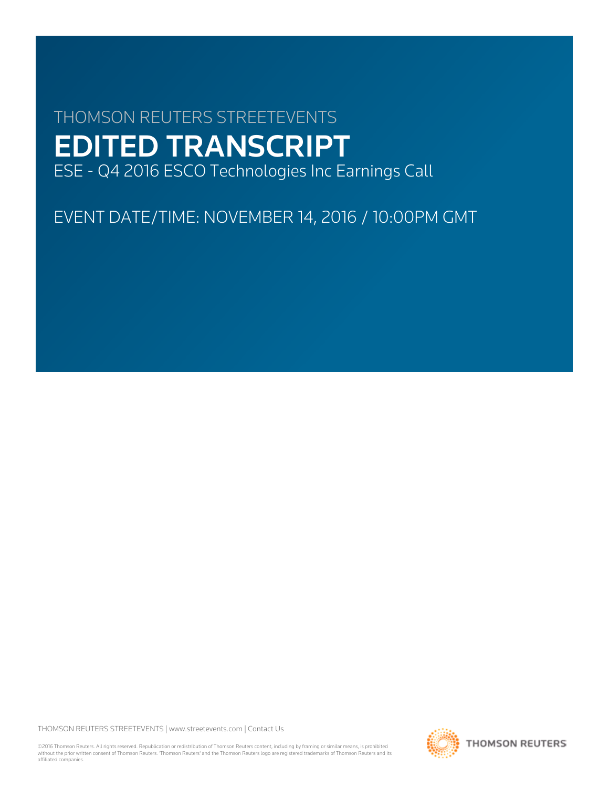# THOMSON REUTERS STREETEVENTS EDITED TRANSCRIPT ESE - Q4 2016 ESCO Technologies Inc Earnings Call

EVENT DATE/TIME: NOVEMBER 14, 2016 / 10:00PM GMT

THOMSON REUTERS STREETEVENTS | [www.streetevents.com](http://www.streetevents.com) | [Contact Us](http://www010.streetevents.com/contact.asp)

©2016 Thomson Reuters. All rights reserved. Republication or redistribution of Thomson Reuters content, including by framing or similar means, is prohibited without the prior written consent of Thomson Reuters. 'Thomson Reuters' and the Thomson Reuters logo are registered trademarks of Thomson Reuters and its affiliated companies.

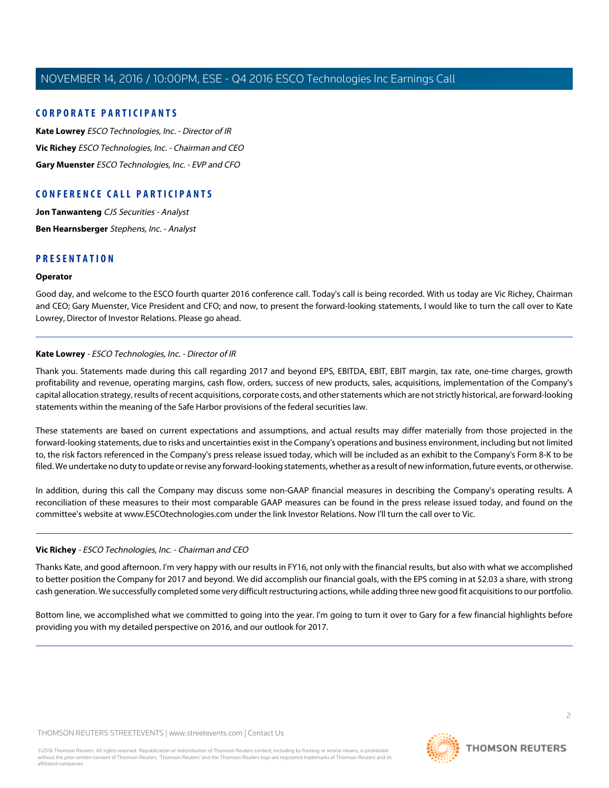## **CORPORATE PARTICIPANTS**

**[Kate Lowrey](#page-1-0)** ESCO Technologies, Inc. - Director of IR **[Vic Richey](#page-1-1)** ESCO Technologies, Inc. - Chairman and CEO **[Gary Muenster](#page-2-0)** ESCO Technologies, Inc. - EVP and CFO

## **CONFERENCE CALL PARTICIPANTS**

**[Jon Tanwanteng](#page-5-0)** CJS Securities - Analyst **[Ben Hearnsberger](#page-7-0)** Stephens, Inc. - Analyst

## **PRESENTATION**

## **Operator**

<span id="page-1-0"></span>Good day, and welcome to the ESCO fourth quarter 2016 conference call. Today's call is being recorded. With us today are Vic Richey, Chairman and CEO; Gary Muenster, Vice President and CFO; and now, to present the forward-looking statements, I would like to turn the call over to Kate Lowrey, Director of Investor Relations. Please go ahead.

## **Kate Lowrey** - ESCO Technologies, Inc. - Director of IR

Thank you. Statements made during this call regarding 2017 and beyond EPS, EBITDA, EBIT, EBIT margin, tax rate, one-time charges, growth profitability and revenue, operating margins, cash flow, orders, success of new products, sales, acquisitions, implementation of the Company's capital allocation strategy, results of recent acquisitions, corporate costs, and other statements which are not strictly historical, are forward-looking statements within the meaning of the Safe Harbor provisions of the federal securities law.

These statements are based on current expectations and assumptions, and actual results may differ materially from those projected in the forward-looking statements, due to risks and uncertainties exist in the Company's operations and business environment, including but not limited to, the risk factors referenced in the Company's press release issued today, which will be included as an exhibit to the Company's Form 8-K to be filed. We undertake no duty to update or revise any forward-looking statements, whether as a result of new information, future events, or otherwise.

<span id="page-1-1"></span>In addition, during this call the Company may discuss some non-GAAP financial measures in describing the Company's operating results. A reconciliation of these measures to their most comparable GAAP measures can be found in the press release issued today, and found on the committee's website at www.ESCOtechnologies.com under the link Investor Relations. Now I'll turn the call over to Vic.

## **Vic Richey** - ESCO Technologies, Inc. - Chairman and CEO

Thanks Kate, and good afternoon. I'm very happy with our results in FY16, not only with the financial results, but also with what we accomplished to better position the Company for 2017 and beyond. We did accomplish our financial goals, with the EPS coming in at \$2.03 a share, with strong cash generation. We successfully completed some very difficult restructuring actions, while adding three new good fit acquisitions to our portfolio.

Bottom line, we accomplished what we committed to going into the year. I'm going to turn it over to Gary for a few financial highlights before providing you with my detailed perspective on 2016, and our outlook for 2017.

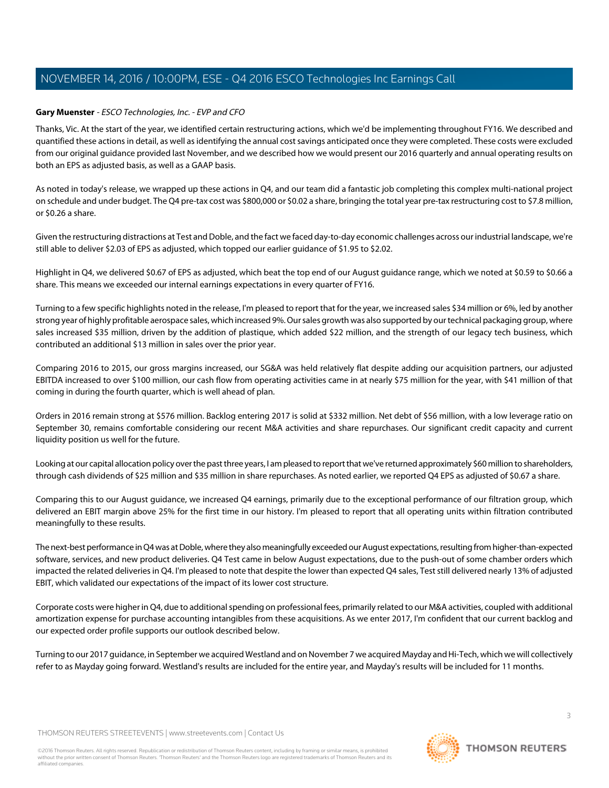## <span id="page-2-0"></span>**Gary Muenster** - ESCO Technologies, Inc. - EVP and CFO

Thanks, Vic. At the start of the year, we identified certain restructuring actions, which we'd be implementing throughout FY16. We described and quantified these actions in detail, as well as identifying the annual cost savings anticipated once they were completed. These costs were excluded from our original guidance provided last November, and we described how we would present our 2016 quarterly and annual operating results on both an EPS as adjusted basis, as well as a GAAP basis.

As noted in today's release, we wrapped up these actions in Q4, and our team did a fantastic job completing this complex multi-national project on schedule and under budget. The Q4 pre-tax cost was \$800,000 or \$0.02 a share, bringing the total year pre-tax restructuring cost to \$7.8 million, or \$0.26 a share.

Given the restructuring distractions at Test and Doble, and the fact we faced day-to-day economic challenges across our industrial landscape, we're still able to deliver \$2.03 of EPS as adjusted, which topped our earlier guidance of \$1.95 to \$2.02.

Highlight in Q4, we delivered \$0.67 of EPS as adjusted, which beat the top end of our August guidance range, which we noted at \$0.59 to \$0.66 a share. This means we exceeded our internal earnings expectations in every quarter of FY16.

Turning to a few specific highlights noted in the release, I'm pleased to report that for the year, we increased sales \$34 million or 6%, led by another strong year of highly profitable aerospace sales, which increased 9%. Our sales growth was also supported by our technical packaging group, where sales increased \$35 million, driven by the addition of plastique, which added \$22 million, and the strength of our legacy tech business, which contributed an additional \$13 million in sales over the prior year.

Comparing 2016 to 2015, our gross margins increased, our SG&A was held relatively flat despite adding our acquisition partners, our adjusted EBITDA increased to over \$100 million, our cash flow from operating activities came in at nearly \$75 million for the year, with \$41 million of that coming in during the fourth quarter, which is well ahead of plan.

Orders in 2016 remain strong at \$576 million. Backlog entering 2017 is solid at \$332 million. Net debt of \$56 million, with a low leverage ratio on September 30, remains comfortable considering our recent M&A activities and share repurchases. Our significant credit capacity and current liquidity position us well for the future.

Looking at our capital allocation policy over the past three years, I am pleased to report that we've returned approximately \$60 million to shareholders, through cash dividends of \$25 million and \$35 million in share repurchases. As noted earlier, we reported Q4 EPS as adjusted of \$0.67 a share.

Comparing this to our August guidance, we increased Q4 earnings, primarily due to the exceptional performance of our filtration group, which delivered an EBIT margin above 25% for the first time in our history. I'm pleased to report that all operating units within filtration contributed meaningfully to these results.

The next-best performance in Q4 was at Doble, where they also meaningfully exceeded our August expectations, resulting from higher-than-expected software, services, and new product deliveries. Q4 Test came in below August expectations, due to the push-out of some chamber orders which impacted the related deliveries in Q4. I'm pleased to note that despite the lower than expected Q4 sales, Test still delivered nearly 13% of adjusted EBIT, which validated our expectations of the impact of its lower cost structure.

Corporate costs were higher in Q4, due to additional spending on professional fees, primarily related to our M&A activities, coupled with additional amortization expense for purchase accounting intangibles from these acquisitions. As we enter 2017, I'm confident that our current backlog and our expected order profile supports our outlook described below.

Turning to our 2017 guidance, in September we acquired Westland and on November 7 we acquired Mayday and Hi-Tech, which we will collectively refer to as Mayday going forward. Westland's results are included for the entire year, and Mayday's results will be included for 11 months.

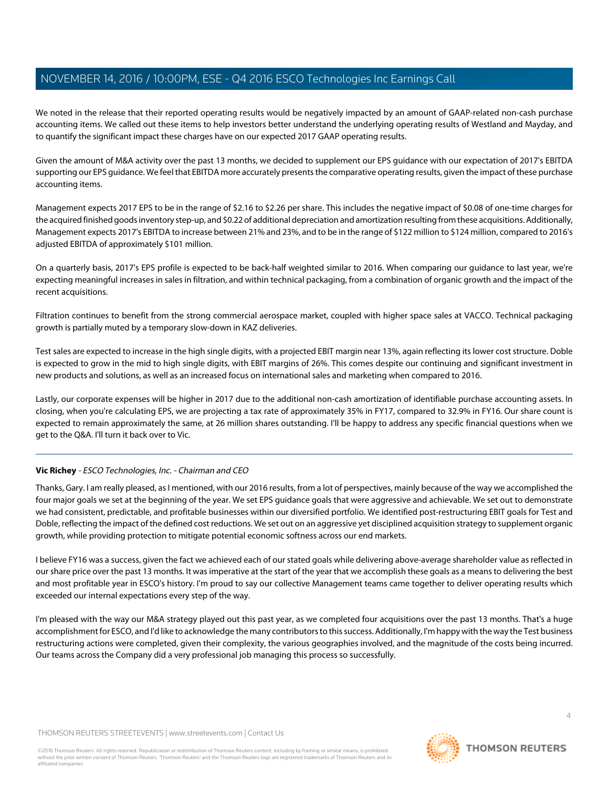We noted in the release that their reported operating results would be negatively impacted by an amount of GAAP-related non-cash purchase accounting items. We called out these items to help investors better understand the underlying operating results of Westland and Mayday, and to quantify the significant impact these charges have on our expected 2017 GAAP operating results.

Given the amount of M&A activity over the past 13 months, we decided to supplement our EPS guidance with our expectation of 2017's EBITDA supporting our EPS guidance. We feel that EBITDA more accurately presents the comparative operating results, given the impact of these purchase accounting items.

Management expects 2017 EPS to be in the range of \$2.16 to \$2.26 per share. This includes the negative impact of \$0.08 of one-time charges for the acquired finished goods inventory step-up, and \$0.22 of additional depreciation and amortization resulting from these acquisitions. Additionally, Management expects 2017's EBITDA to increase between 21% and 23%, and to be in the range of \$122 million to \$124 million, compared to 2016's adjusted EBITDA of approximately \$101 million.

On a quarterly basis, 2017's EPS profile is expected to be back-half weighted similar to 2016. When comparing our guidance to last year, we're expecting meaningful increases in sales in filtration, and within technical packaging, from a combination of organic growth and the impact of the recent acquisitions.

Filtration continues to benefit from the strong commercial aerospace market, coupled with higher space sales at VACCO. Technical packaging growth is partially muted by a temporary slow-down in KAZ deliveries.

Test sales are expected to increase in the high single digits, with a projected EBIT margin near 13%, again reflecting its lower cost structure. Doble is expected to grow in the mid to high single digits, with EBIT margins of 26%. This comes despite our continuing and significant investment in new products and solutions, as well as an increased focus on international sales and marketing when compared to 2016.

Lastly, our corporate expenses will be higher in 2017 due to the additional non-cash amortization of identifiable purchase accounting assets. In closing, when you're calculating EPS, we are projecting a tax rate of approximately 35% in FY17, compared to 32.9% in FY16. Our share count is expected to remain approximately the same, at 26 million shares outstanding. I'll be happy to address any specific financial questions when we get to the Q&A. I'll turn it back over to Vic.

## **Vic Richey** - ESCO Technologies, Inc. - Chairman and CEO

Thanks, Gary. I am really pleased, as I mentioned, with our 2016 results, from a lot of perspectives, mainly because of the way we accomplished the four major goals we set at the beginning of the year. We set EPS guidance goals that were aggressive and achievable. We set out to demonstrate we had consistent, predictable, and profitable businesses within our diversified portfolio. We identified post-restructuring EBIT goals for Test and Doble, reflecting the impact of the defined cost reductions. We set out on an aggressive yet disciplined acquisition strategy to supplement organic growth, while providing protection to mitigate potential economic softness across our end markets.

I believe FY16 was a success, given the fact we achieved each of our stated goals while delivering above-average shareholder value as reflected in our share price over the past 13 months. It was imperative at the start of the year that we accomplish these goals as a means to delivering the best and most profitable year in ESCO's history. I'm proud to say our collective Management teams came together to deliver operating results which exceeded our internal expectations every step of the way.

I'm pleased with the way our M&A strategy played out this past year, as we completed four acquisitions over the past 13 months. That's a huge accomplishment for ESCO, and I'd like to acknowledge the many contributors to this success. Additionally, I'm happy with the way the Test business restructuring actions were completed, given their complexity, the various geographies involved, and the magnitude of the costs being incurred. Our teams across the Company did a very professional job managing this process so successfully.

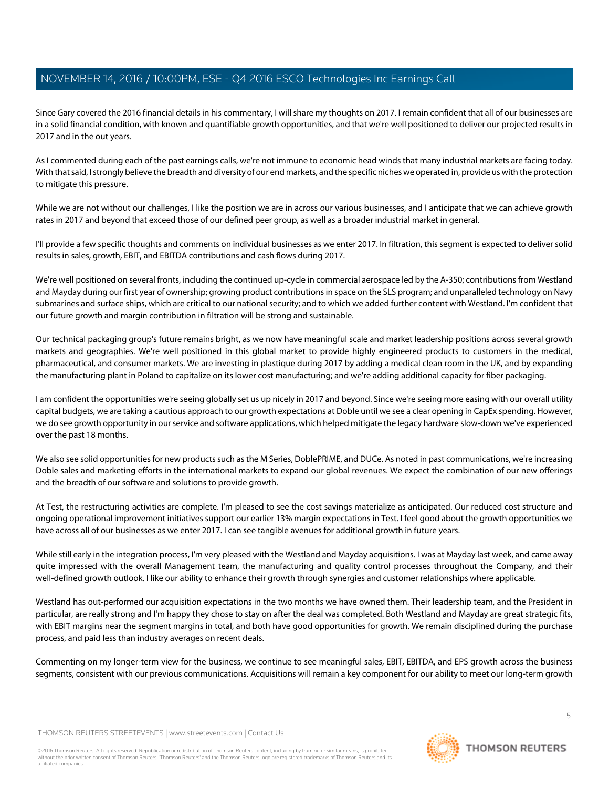Since Gary covered the 2016 financial details in his commentary, I will share my thoughts on 2017. I remain confident that all of our businesses are in a solid financial condition, with known and quantifiable growth opportunities, and that we're well positioned to deliver our projected results in 2017 and in the out years.

As I commented during each of the past earnings calls, we're not immune to economic head winds that many industrial markets are facing today. With that said, I strongly believe the breadth and diversity of our end markets, and the specific niches we operated in, provide us with the protection to mitigate this pressure.

While we are not without our challenges, I like the position we are in across our various businesses, and I anticipate that we can achieve growth rates in 2017 and beyond that exceed those of our defined peer group, as well as a broader industrial market in general.

I'll provide a few specific thoughts and comments on individual businesses as we enter 2017. In filtration, this segment is expected to deliver solid results in sales, growth, EBIT, and EBITDA contributions and cash flows during 2017.

We're well positioned on several fronts, including the continued up-cycle in commercial aerospace led by the A-350; contributions from Westland and Mayday during our first year of ownership; growing product contributions in space on the SLS program; and unparalleled technology on Navy submarines and surface ships, which are critical to our national security; and to which we added further content with Westland. I'm confident that our future growth and margin contribution in filtration will be strong and sustainable.

Our technical packaging group's future remains bright, as we now have meaningful scale and market leadership positions across several growth markets and geographies. We're well positioned in this global market to provide highly engineered products to customers in the medical, pharmaceutical, and consumer markets. We are investing in plastique during 2017 by adding a medical clean room in the UK, and by expanding the manufacturing plant in Poland to capitalize on its lower cost manufacturing; and we're adding additional capacity for fiber packaging.

I am confident the opportunities we're seeing globally set us up nicely in 2017 and beyond. Since we're seeing more easing with our overall utility capital budgets, we are taking a cautious approach to our growth expectations at Doble until we see a clear opening in CapEx spending. However, we do see growth opportunity in our service and software applications, which helped mitigate the legacy hardware slow-down we've experienced over the past 18 months.

We also see solid opportunities for new products such as the M Series, DoblePRIME, and DUCe. As noted in past communications, we're increasing Doble sales and marketing efforts in the international markets to expand our global revenues. We expect the combination of our new offerings and the breadth of our software and solutions to provide growth.

At Test, the restructuring activities are complete. I'm pleased to see the cost savings materialize as anticipated. Our reduced cost structure and ongoing operational improvement initiatives support our earlier 13% margin expectations in Test. I feel good about the growth opportunities we have across all of our businesses as we enter 2017. I can see tangible avenues for additional growth in future years.

While still early in the integration process, I'm very pleased with the Westland and Mayday acquisitions. I was at Mayday last week, and came away quite impressed with the overall Management team, the manufacturing and quality control processes throughout the Company, and their well-defined growth outlook. I like our ability to enhance their growth through synergies and customer relationships where applicable.

Westland has out-performed our acquisition expectations in the two months we have owned them. Their leadership team, and the President in particular, are really strong and I'm happy they chose to stay on after the deal was completed. Both Westland and Mayday are great strategic fits, with EBIT margins near the segment margins in total, and both have good opportunities for growth. We remain disciplined during the purchase process, and paid less than industry averages on recent deals.

Commenting on my longer-term view for the business, we continue to see meaningful sales, EBIT, EBITDA, and EPS growth across the business segments, consistent with our previous communications. Acquisitions will remain a key component for our ability to meet our long-term growth

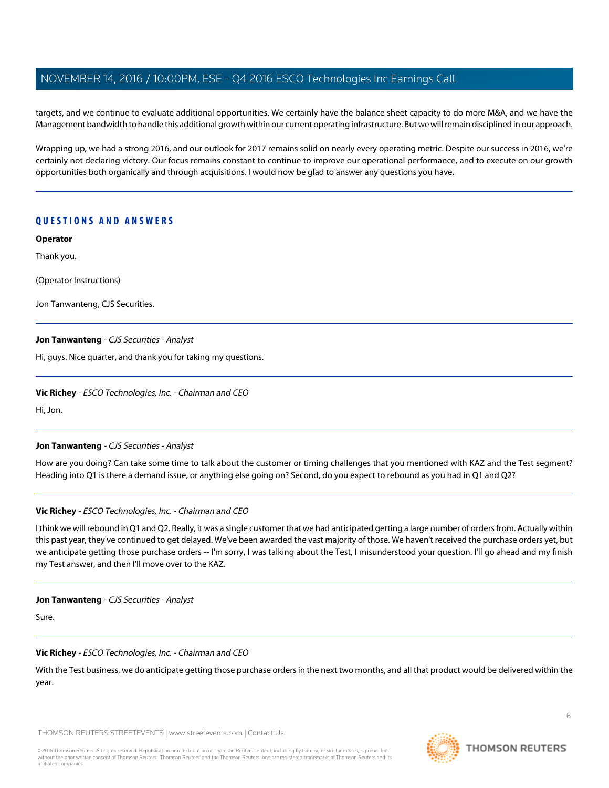targets, and we continue to evaluate additional opportunities. We certainly have the balance sheet capacity to do more M&A, and we have the Management bandwidth to handle this additional growth within our current operating infrastructure. But we will remain disciplined in our approach.

Wrapping up, we had a strong 2016, and our outlook for 2017 remains solid on nearly every operating metric. Despite our success in 2016, we're certainly not declaring victory. Our focus remains constant to continue to improve our operational performance, and to execute on our growth opportunities both organically and through acquisitions. I would now be glad to answer any questions you have.

## **QUESTIONS AND ANSWERS**

**Operator**

Thank you.

(Operator Instructions)

<span id="page-5-0"></span>Jon Tanwanteng, CJS Securities.

## **Jon Tanwanteng** - CJS Securities - Analyst

Hi, guys. Nice quarter, and thank you for taking my questions.

## **Vic Richey** - ESCO Technologies, Inc. - Chairman and CEO

Hi, Jon.

## **Jon Tanwanteng** - CJS Securities - Analyst

How are you doing? Can take some time to talk about the customer or timing challenges that you mentioned with KAZ and the Test segment? Heading into Q1 is there a demand issue, or anything else going on? Second, do you expect to rebound as you had in Q1 and Q2?

## **Vic Richey** - ESCO Technologies, Inc. - Chairman and CEO

I think we will rebound in Q1 and Q2. Really, it was a single customer that we had anticipated getting a large number of orders from. Actually within this past year, they've continued to get delayed. We've been awarded the vast majority of those. We haven't received the purchase orders yet, but we anticipate getting those purchase orders -- I'm sorry, I was talking about the Test, I misunderstood your question. I'll go ahead and my finish my Test answer, and then I'll move over to the KAZ.

## **Jon Tanwanteng** - CJS Securities - Analyst

Sure.

## **Vic Richey** - ESCO Technologies, Inc. - Chairman and CEO

With the Test business, we do anticipate getting those purchase orders in the next two months, and all that product would be delivered within the year.

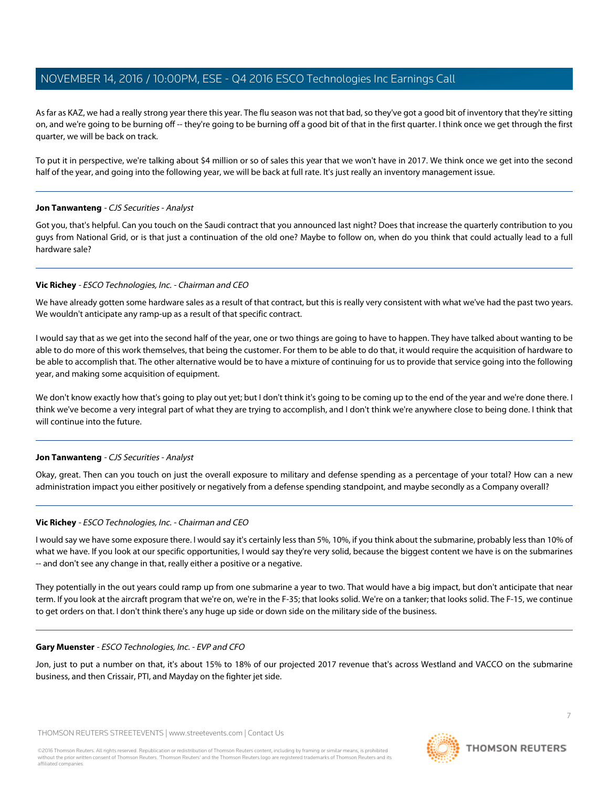As far as KAZ, we had a really strong year there this year. The flu season was not that bad, so they've got a good bit of inventory that they're sitting on, and we're going to be burning off -- they're going to be burning off a good bit of that in the first quarter. I think once we get through the first quarter, we will be back on track.

To put it in perspective, we're talking about \$4 million or so of sales this year that we won't have in 2017. We think once we get into the second half of the year, and going into the following year, we will be back at full rate. It's just really an inventory management issue.

## **Jon Tanwanteng** - CJS Securities - Analyst

Got you, that's helpful. Can you touch on the Saudi contract that you announced last night? Does that increase the quarterly contribution to you guys from National Grid, or is that just a continuation of the old one? Maybe to follow on, when do you think that could actually lead to a full hardware sale?

## **Vic Richey** - ESCO Technologies, Inc. - Chairman and CEO

We have already gotten some hardware sales as a result of that contract, but this is really very consistent with what we've had the past two years. We wouldn't anticipate any ramp-up as a result of that specific contract.

I would say that as we get into the second half of the year, one or two things are going to have to happen. They have talked about wanting to be able to do more of this work themselves, that being the customer. For them to be able to do that, it would require the acquisition of hardware to be able to accomplish that. The other alternative would be to have a mixture of continuing for us to provide that service going into the following year, and making some acquisition of equipment.

We don't know exactly how that's going to play out yet; but I don't think it's going to be coming up to the end of the year and we're done there. I think we've become a very integral part of what they are trying to accomplish, and I don't think we're anywhere close to being done. I think that will continue into the future.

## **Jon Tanwanteng** - CJS Securities - Analyst

Okay, great. Then can you touch on just the overall exposure to military and defense spending as a percentage of your total? How can a new administration impact you either positively or negatively from a defense spending standpoint, and maybe secondly as a Company overall?

## **Vic Richey** - ESCO Technologies, Inc. - Chairman and CEO

I would say we have some exposure there. I would say it's certainly less than 5%, 10%, if you think about the submarine, probably less than 10% of what we have. If you look at our specific opportunities, I would say they're very solid, because the biggest content we have is on the submarines -- and don't see any change in that, really either a positive or a negative.

They potentially in the out years could ramp up from one submarine a year to two. That would have a big impact, but don't anticipate that near term. If you look at the aircraft program that we're on, we're in the F-35; that looks solid. We're on a tanker; that looks solid. The F-15, we continue to get orders on that. I don't think there's any huge up side or down side on the military side of the business.

## **Gary Muenster** - ESCO Technologies, Inc. - EVP and CFO

Jon, just to put a number on that, it's about 15% to 18% of our projected 2017 revenue that's across Westland and VACCO on the submarine business, and then Crissair, PTI, and Mayday on the fighter jet side.

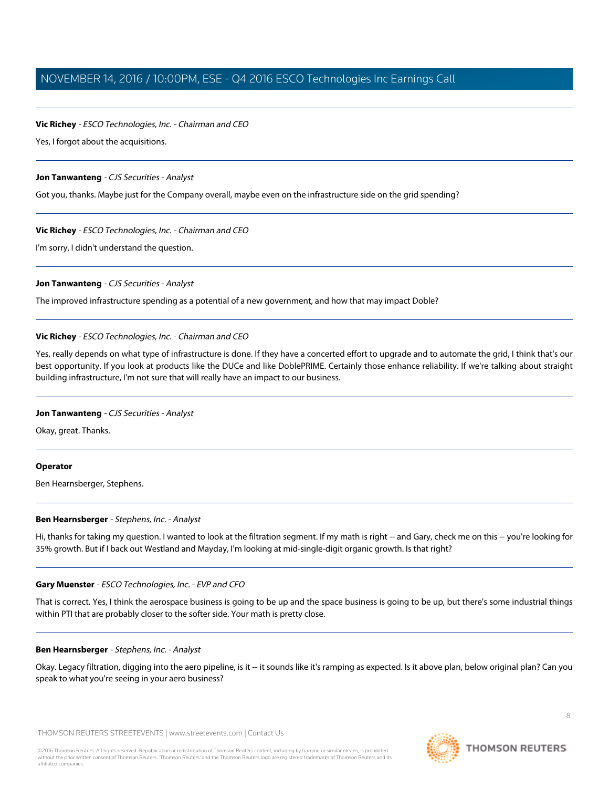## **Vic Richey** - ESCO Technologies, Inc. - Chairman and CEO

Yes, I forgot about the acquisitions.

## **Jon Tanwanteng** - CJS Securities - Analyst

Got you, thanks. Maybe just for the Company overall, maybe even on the infrastructure side on the grid spending?

## **Vic Richey** - ESCO Technologies, Inc. - Chairman and CEO

I'm sorry, I didn't understand the question.

## **Jon Tanwanteng** - CJS Securities - Analyst

The improved infrastructure spending as a potential of a new government, and how that may impact Doble?

## **Vic Richey** - ESCO Technologies, Inc. - Chairman and CEO

Yes, really depends on what type of infrastructure is done. If they have a concerted effort to upgrade and to automate the grid, I think that's our best opportunity. If you look at products like the DUCe and like DoblePRIME. Certainly those enhance reliability. If we're talking about straight building infrastructure, I'm not sure that will really have an impact to our business.

## **Jon Tanwanteng** - CJS Securities - Analyst

Okay, great. Thanks.

## <span id="page-7-0"></span>**Operator**

Ben Hearnsberger, Stephens.

## **Ben Hearnsberger** - Stephens, Inc. - Analyst

Hi, thanks for taking my question. I wanted to look at the filtration segment. If my math is right -- and Gary, check me on this -- you're looking for 35% growth. But if I back out Westland and Mayday, I'm looking at mid-single-digit organic growth. Is that right?

## **Gary Muenster** - ESCO Technologies, Inc. - EVP and CFO

That is correct. Yes, I think the aerospace business is going to be up and the space business is going to be up, but there's some industrial things within PTI that are probably closer to the softer side. Your math is pretty close.

## **Ben Hearnsberger** - Stephens, Inc. - Analyst

Okay. Legacy filtration, digging into the aero pipeline, is it -- it sounds like it's ramping as expected. Is it above plan, below original plan? Can you speak to what you're seeing in your aero business?

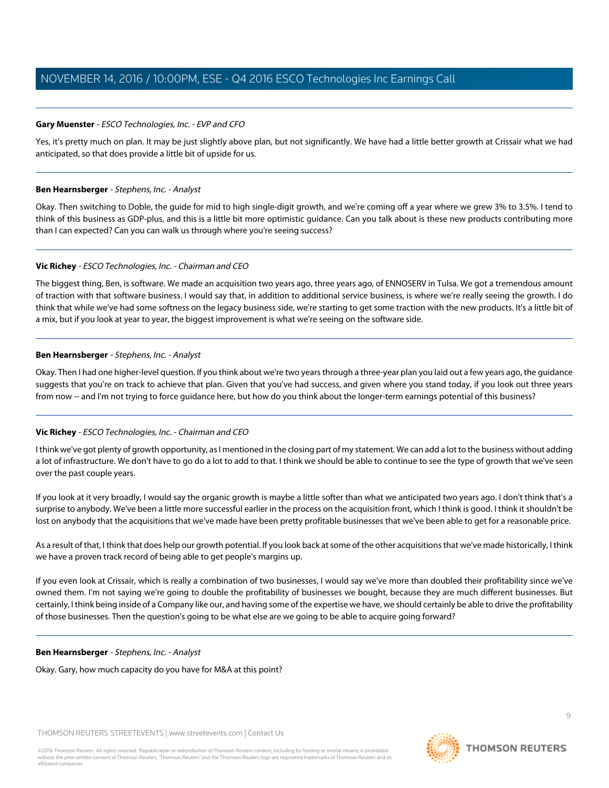## **Gary Muenster** - ESCO Technologies, Inc. - EVP and CFO

Yes, it's pretty much on plan. It may be just slightly above plan, but not significantly. We have had a little better growth at Crissair what we had anticipated, so that does provide a little bit of upside for us.

## **Ben Hearnsberger** - Stephens, Inc. - Analyst

Okay. Then switching to Doble, the guide for mid to high single-digit growth, and we're coming off a year where we grew 3% to 3.5%. I tend to think of this business as GDP-plus, and this is a little bit more optimistic guidance. Can you talk about is these new products contributing more than I can expected? Can you can walk us through where you're seeing success?

## **Vic Richey** - ESCO Technologies, Inc. - Chairman and CEO

The biggest thing, Ben, is software. We made an acquisition two years ago, three years ago, of ENNOSERV in Tulsa. We got a tremendous amount of traction with that software business. I would say that, in addition to additional service business, is where we're really seeing the growth. I do think that while we've had some softness on the legacy business side, we're starting to get some traction with the new products. It's a little bit of a mix, but if you look at year to year, the biggest improvement is what we're seeing on the software side.

## **Ben Hearnsberger** - Stephens, Inc. - Analyst

Okay. Then I had one higher-level question. If you think about we're two years through a three-year plan you laid out a few years ago, the guidance suggests that you're on track to achieve that plan. Given that you've had success, and given where you stand today, if you look out three years from now -- and I'm not trying to force quidance here, but how do you think about the longer-term earnings potential of this business?

## **Vic Richey** - ESCO Technologies, Inc. - Chairman and CEO

I think we've got plenty of growth opportunity, as I mentioned in the closing part of my statement. We can add a lot to the business without adding a lot of infrastructure. We don't have to go do a lot to add to that. I think we should be able to continue to see the type of growth that we've seen over the past couple years.

If you look at it very broadly, I would say the organic growth is maybe a little softer than what we anticipated two years ago. I don't think that's a surprise to anybody. We've been a little more successful earlier in the process on the acquisition front, which I think is good. I think it shouldn't be lost on anybody that the acquisitions that we've made have been pretty profitable businesses that we've been able to get for a reasonable price.

As a result of that, I think that does help our growth potential. If you look back at some of the other acquisitions that we've made historically, I think we have a proven track record of being able to get people's margins up.

If you even look at Crissair, which is really a combination of two businesses, I would say we've more than doubled their profitability since we've owned them. I'm not saying we're going to double the profitability of businesses we bought, because they are much different businesses. But certainly, I think being inside of a Company like our, and having some of the expertise we have, we should certainly be able to drive the profitability of those businesses. Then the question's going to be what else are we going to be able to acquire going forward?

## **Ben Hearnsberger** - Stephens, Inc. - Analyst

Okay. Gary, how much capacity do you have for M&A at this point?